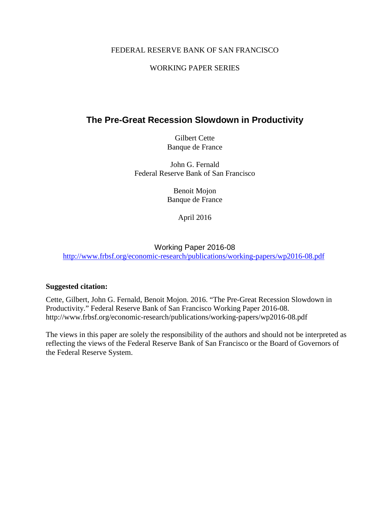#### FEDERAL RESERVE BANK OF SAN FRANCISCO

#### WORKING PAPER SERIES

## **The Pre-Great Recession Slowdown in Productivity**

Gilbert Cette Banque de France

John G. Fernald Federal Reserve Bank of San Francisco

> Benoit Mojon Banque de France

> > April 2016

#### Working Paper 2016-08

<http://www.frbsf.org/economic-research/publications/working-papers/wp2016-08.pdf>

#### **Suggested citation:**

Cette, Gilbert, John G. Fernald, Benoit Mojon. 2016. "The Pre-Great Recession Slowdown in Productivity." Federal Reserve Bank of San Francisco Working Paper 2016-08. http://www.frbsf.org/economic-research/publications/working-papers/wp2016-08.pdf

The views in this paper are solely the responsibility of the authors and should not be interpreted as reflecting the views of the Federal Reserve Bank of San Francisco or the Board of Governors of the Federal Reserve System.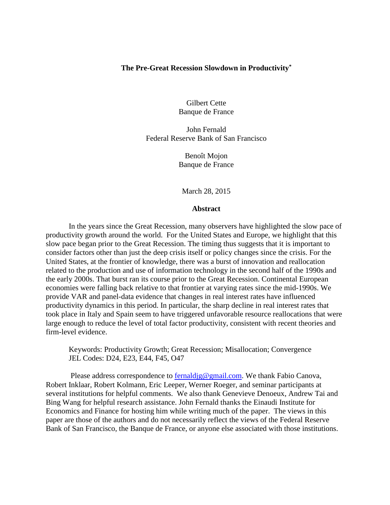#### **The Pre-Great Recession Slowdown in Productivity\***

Gilbert Cette Banque de France

John Fernald Federal Reserve Bank of San Francisco

> Benoît Mojon Banque de France

March 28, 2015

#### **Abstract**

In the years since the Great Recession, many observers have highlighted the slow pace of productivity growth around the world. For the United States and Europe, we highlight that this slow pace began prior to the Great Recession. The timing thus suggests that it is important to consider factors other than just the deep crisis itself or policy changes since the crisis. For the United States, at the frontier of knowledge, there was a burst of innovation and reallocation related to the production and use of information technology in the second half of the 1990s and the early 2000s. That burst ran its course prior to the Great Recession. Continental European economies were falling back relative to that frontier at varying rates since the mid-1990s. We provide VAR and panel-data evidence that changes in real interest rates have influenced productivity dynamics in this period. In particular, the sharp decline in real interest rates that took place in Italy and Spain seem to have triggered unfavorable resource reallocations that were large enough to reduce the level of total factor productivity, consistent with recent theories and firm-level evidence.

Keywords: Productivity Growth; Great Recession; Misallocation; Convergence JEL Codes: D24, E23, E44, F45, O47

<span id="page-1-0"></span>Please address correspondence to [fernaldjg@gmail.com.](mailto:fernaldjg@gmail.com) We thank Fabio Canova, Robert Inklaar, Robert Kolmann, Eric Leeper, Werner Roeger, and seminar participants at several institutions for helpful comments. We also thank Genevieve Denoeux, Andrew Tai and Bing Wang for helpful research assistance. John Fernald thanks the Einaudi Institute for Economics and Finance for hosting him while writing much of the paper. The views in this paper are those of the authors and do not necessarily reflect the views of the Federal Reserve Bank of San Francisco, the Banque de France, or anyone else associated with those institutions.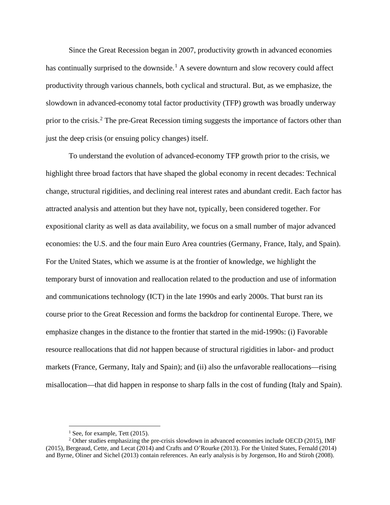Since the Great Recession began in 2007, productivity growth in advanced economies has continually surprised to the downside.<sup>[1](#page-1-0)</sup> A severe downturn and slow recovery could affect productivity through various channels, both cyclical and structural. But, as we emphasize, the slowdown in advanced-economy total factor productivity (TFP) growth was broadly underway prior to the crisis.<sup>[2](#page-2-0)</sup> The pre-Great Recession timing suggests the importance of factors other than just the deep crisis (or ensuing policy changes) itself.

To understand the evolution of advanced-economy TFP growth prior to the crisis, we highlight three broad factors that have shaped the global economy in recent decades: Technical change, structural rigidities, and declining real interest rates and abundant credit. Each factor has attracted analysis and attention but they have not, typically, been considered together. For expositional clarity as well as data availability, we focus on a small number of major advanced economies: the U.S. and the four main Euro Area countries (Germany, France, Italy, and Spain). For the United States, which we assume is at the frontier of knowledge, we highlight the temporary burst of innovation and reallocation related to the production and use of information and communications technology (ICT) in the late 1990s and early 2000s. That burst ran its course prior to the Great Recession and forms the backdrop for continental Europe. There, we emphasize changes in the distance to the frontier that started in the mid-1990s: (i) Favorable resource reallocations that did *not* happen because of structural rigidities in labor- and product markets (France, Germany, Italy and Spain); and (ii) also the *un*favorable reallocations—rising misallocation—that did happen in response to sharp falls in the cost of funding (Italy and Spain).

 $<sup>1</sup>$  See, for example, Tett (2015).</sup>

<span id="page-2-0"></span><sup>&</sup>lt;sup>2</sup> Other studies emphasizing the pre-crisis slowdown in advanced economies include OECD (2015), IMF (2015), Bergeaud, Cette, and Lecat (2014) and Crafts and O'Rourke (2013). For the United States, Fernald (2014) and Byrne, Oliner and Sichel (2013) contain references. An early analysis is by Jorgenson, Ho and Stiroh (2008).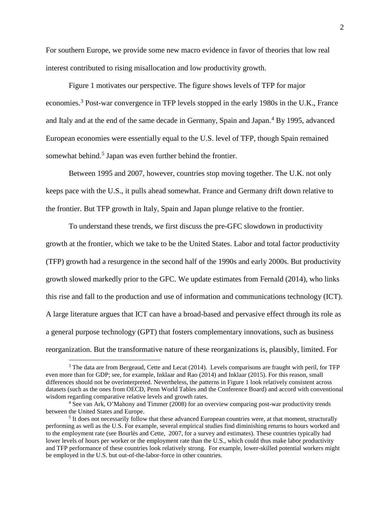For southern Europe, we provide some new macro evidence in favor of theories that low real interest contributed to rising misallocation and low productivity growth.

[Figure 1](#page-36-0) motivates our perspective. The figure shows levels of TFP for major economies.<sup>[3](#page-3-0)</sup> Post-war convergence in TFP levels stopped in the early 1980s in the U.K., France and Italy and at the end of the same decade in Germany, Spain and Japan.<sup>[4](#page-3-1)</sup> By 1995, advanced European economies were essentially equal to the U.S. level of TFP, though Spain remained somewhat behind.<sup>[5](#page-3-2)</sup> Japan was even further behind the frontier.

Between 1995 and 2007, however, countries stop moving together. The U.K. not only keeps pace with the U.S., it pulls ahead somewhat. France and Germany drift down relative to the frontier. But TFP growth in Italy, Spain and Japan plunge relative to the frontier.

To understand these trends, we first discuss the pre-GFC slowdown in productivity growth at the frontier, which we take to be the United States. Labor and total factor productivity (TFP) growth had a resurgence in the second half of the 1990s and early 2000s. But productivity growth slowed markedly prior to the GFC. We update estimates from Fernald (2014), who links this rise and fall to the production and use of information and communications technology (ICT). A large literature argues that ICT can have a broad-based and pervasive effect through its role as a general purpose technology (GPT) that fosters complementary innovations, such as business reorganization. But the transformative nature of these reorganizations is, plausibly, limited. For

<span id="page-3-0"></span><sup>&</sup>lt;sup>3</sup> The data are from Bergeaud, Cette and Lecat (2014). Levels comparisons are fraught with peril, for TFP even more than for GDP; see, for example, Inklaar and Rao (2014) and Inklaar (2015). For this reason, small differences should not be overinterpreted. Nevertheless, the patterns in Figure 1 look relatively consistent across datasets (such as the ones from OECD, Penn World Tables and the Conference Board) and accord with conventional wisdom regarding comparative relative levels and growth rates.

<span id="page-3-1"></span><sup>4</sup> See van Ark, O'Mahony and Timmer (2008) for an overview comparing post-war productivity trends between the United States and Europe.

<span id="page-3-2"></span><sup>&</sup>lt;sup>5</sup> It does not necessarily follow that these advanced European countries were, at that moment, structurally performing as well as the U.S. For example, several empirical studies find diminishing returns to hours worked and to the employment rate (see Bourlès and Cette, 2007, for a survey and estimates). These countries typically had lower levels of hours per worker or the employment rate than the U.S., which could thus make labor productivity and TFP performance of these countries look relatively strong. For example, lower-skilled potential workers might be employed in the U.S. but out-of-the-labor-force in other countries.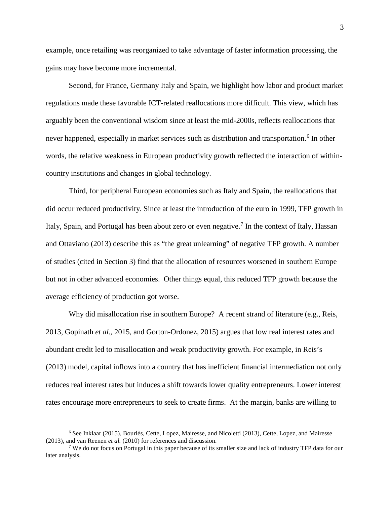example, once retailing was reorganized to take advantage of faster information processing, the gains may have become more incremental.

Second, for France, Germany Italy and Spain, we highlight how labor and product market regulations made these favorable ICT-related reallocations more difficult. This view, which has arguably been the conventional wisdom since at least the mid-2000s, reflects reallocations that never happened, especially in market services such as distribution and transportation.<sup>[6](#page-4-0)</sup> In other words, the relative weakness in European productivity growth reflected the interaction of withincountry institutions and changes in global technology.

Third, for peripheral European economies such as Italy and Spain, the reallocations that did occur reduced productivity. Since at least the introduction of the euro in 1999, TFP growth in Italy, Spain, and Portugal has been about zero or even negative.<sup>[7](#page-4-1)</sup> In the context of Italy, Hassan and Ottaviano (2013) describe this as "the great unlearning" of negative TFP growth. A number of studies (cited in Section [3\)](#page-15-0) find that the allocation of resources worsened in southern Europe but not in other advanced economies. Other things equal, this reduced TFP growth because the average efficiency of production got worse.

Why did misallocation rise in southern Europe? A recent strand of literature (e.g., Reis, 2013, Gopinath *et al.,* 2015, and Gorton-Ordonez, 2015) argues that low real interest rates and abundant credit led to misallocation and weak productivity growth. For example, in Reis's (2013) model, capital inflows into a country that has inefficient financial intermediation not only reduces real interest rates but induces a shift towards lower quality entrepreneurs. Lower interest rates encourage more entrepreneurs to seek to create firms. At the margin, banks are willing to

<span id="page-4-0"></span> <sup>6</sup> See Inklaar (2015), Bourlès, Cette, Lopez, Mairesse, and Nicoletti (2013), Cette, Lopez, and Mairesse (2013), and van Reenen *et al.* (2010) for references and discussion.

<span id="page-4-1"></span><sup>&</sup>lt;sup>7</sup> We do not focus on Portugal in this paper because of its smaller size and lack of industry TFP data for our later analysis.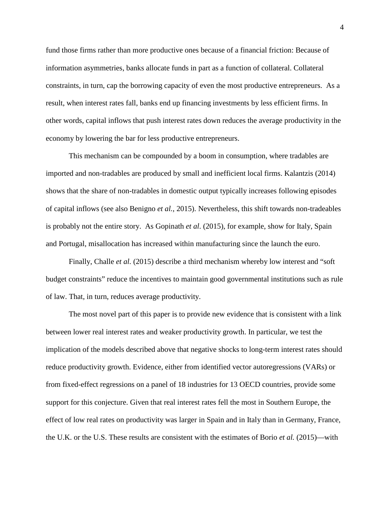fund those firms rather than more productive ones because of a financial friction: Because of information asymmetries, banks allocate funds in part as a function of collateral. Collateral constraints, in turn, cap the borrowing capacity of even the most productive entrepreneurs. As a result, when interest rates fall, banks end up financing investments by less efficient firms. In other words, capital inflows that push interest rates down reduces the average productivity in the economy by lowering the bar for less productive entrepreneurs.

This mechanism can be compounded by a boom in consumption, where tradables are imported and non-tradables are produced by small and inefficient local firms. Kalantzis (2014) shows that the share of non-tradables in domestic output typically increases following episodes of capital inflows (see also Benigno *et al.*, 2015). Nevertheless, this shift towards non-tradeables is probably not the entire story. As Gopinath *et al*. (2015), for example, show for Italy, Spain and Portugal, misallocation has increased within manufacturing since the launch the euro.

Finally, Challe *et al.* (2015) describe a third mechanism whereby low interest and "soft budget constraints" reduce the incentives to maintain good governmental institutions such as rule of law. That, in turn, reduces average productivity.

The most novel part of this paper is to provide new evidence that is consistent with a link between lower real interest rates and weaker productivity growth. In particular, we test the implication of the models described above that negative shocks to long-term interest rates should reduce productivity growth. Evidence, either from identified vector autoregressions (VARs) or from fixed-effect regressions on a panel of 18 industries for 13 OECD countries, provide some support for this conjecture. Given that real interest rates fell the most in Southern Europe, the effect of low real rates on productivity was larger in Spain and in Italy than in Germany, France, the U.K. or the U.S. These results are consistent with the estimates of Borio *et al.* (2015)—with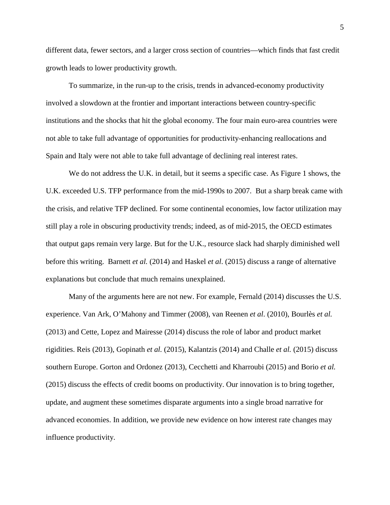different data, fewer sectors, and a larger cross section of countries—which finds that fast credit growth leads to lower productivity growth.

To summarize, in the run-up to the crisis, trends in advanced-economy productivity involved a slowdown at the frontier and important interactions between country-specific institutions and the shocks that hit the global economy. The four main euro-area countries were not able to take full advantage of opportunities for productivity-enhancing reallocations and Spain and Italy were not able to take full advantage of declining real interest rates.

We do not address the U.K. in detail, but it seems a specific case. As [Figure 1](#page-36-0) shows, the U.K. exceeded U.S. TFP performance from the mid-1990s to 2007. But a sharp break came with the crisis, and relative TFP declined. For some continental economies, low factor utilization may still play a role in obscuring productivity trends; indeed, as of mid-2015, the OECD estimates that output gaps remain very large. But for the U.K., resource slack had sharply diminished well before this writing. Barnett *et al.* (2014) and Haskel *et al*. (2015) discuss a range of alternative explanations but conclude that much remains unexplained.

Many of the arguments here are not new. For example, Fernald (2014) discusses the U.S. experience. Van Ark, O'Mahony and Timmer (2008), van Reenen *et al*. (2010), Bourlès *et al.* (2013) and Cette, Lopez and Mairesse (2014) discuss the role of labor and product market rigidities. Reis (2013), Gopinath *et al.* (2015), Kalantzis (2014) and Challe *et al.* (2015) discuss southern Europe. Gorton and Ordonez (2013), Cecchetti and Kharroubi (2015) and Borio *et al.* (2015) discuss the effects of credit booms on productivity. Our innovation is to bring together, update, and augment these sometimes disparate arguments into a single broad narrative for advanced economies. In addition, we provide new evidence on how interest rate changes may influence productivity.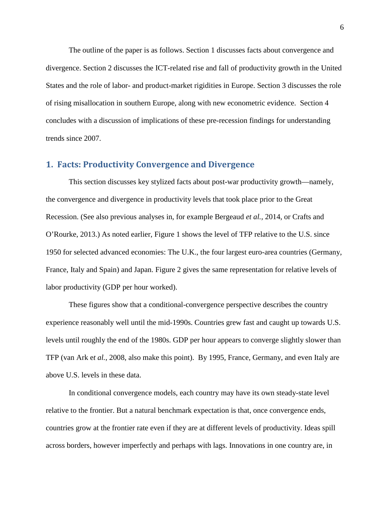The outline of the paper is as follows. Section [1](#page-7-0) discusses facts about convergence and divergence. Section [2](#page-9-0) discusses the ICT-related rise and fall of productivity growth in the United States and the role of labor- and product-market rigidities in Europe. Section [3](#page-15-0) discusses the role of rising misallocation in southern Europe, along with new econometric evidence. Section [4](#page-23-0) concludes with a discussion of implications of these pre-recession findings for understanding trends since 2007.

#### <span id="page-7-0"></span>**1. Facts: Productivity Convergence and Divergence**

This section discusses key stylized facts about post-war productivity growth—namely, the convergence and divergence in productivity levels that took place prior to the Great Recession. (See also previous analyses in, for example Bergeaud *et al.,* 2014, or Crafts and O'Rourke, 2013.) As noted earlier, [Figure 1](#page-36-0) shows the level of TFP relative to the U.S. since 1950 for selected advanced economies: The U.K., the four largest euro-area countries (Germany, France, Italy and Spain) and Japan. [Figure 2](#page-37-0) gives the same representation for relative levels of labor productivity (GDP per hour worked).

These figures show that a conditional-convergence perspective describes the country experience reasonably well until the mid-1990s. Countries grew fast and caught up towards U.S. levels until roughly the end of the 1980s. GDP per hour appears to converge slightly slower than TFP (van Ark e*t al.*, 2008, also make this point). By 1995, France, Germany, and even Italy are above U.S. levels in these data.

In conditional convergence models, each country may have its own steady-state level relative to the frontier. But a natural benchmark expectation is that, once convergence ends, countries grow at the frontier rate even if they are at different levels of productivity. Ideas spill across borders, however imperfectly and perhaps with lags. Innovations in one country are, in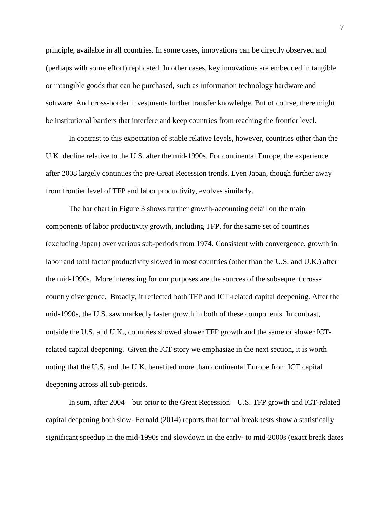principle, available in all countries. In some cases, innovations can be directly observed and (perhaps with some effort) replicated. In other cases, key innovations are embedded in tangible or intangible goods that can be purchased, such as information technology hardware and software. And cross-border investments further transfer knowledge. But of course, there might be institutional barriers that interfere and keep countries from reaching the frontier level.

In contrast to this expectation of stable relative levels, however, countries other than the U.K. decline relative to the U.S. after the mid-1990s. For continental Europe, the experience after 2008 largely continues the pre-Great Recession trends. Even Japan, though further away from frontier level of TFP and labor productivity, evolves similarly.

The bar chart in [Figure 3](#page-38-0) shows further growth-accounting detail on the main components of labor productivity growth, including TFP, for the same set of countries (excluding Japan) over various sub-periods from 1974. Consistent with convergence, growth in labor and total factor productivity slowed in most countries (other than the U.S. and U.K.) after the mid-1990s. More interesting for our purposes are the sources of the subsequent crosscountry divergence. Broadly, it reflected both TFP and ICT-related capital deepening. After the mid-1990s, the U.S. saw markedly faster growth in both of these components. In contrast, outside the U.S. and U.K., countries showed slower TFP growth and the same or slower ICTrelated capital deepening. Given the ICT story we emphasize in the next section, it is worth noting that the U.S. and the U.K. benefited more than continental Europe from ICT capital deepening across all sub-periods.

In sum, after 2004—but prior to the Great Recession—U.S. TFP growth and ICT-related capital deepening both slow. Fernald (2014) reports that formal break tests show a statistically significant speedup in the mid-1990s and slowdown in the early- to mid-2000s (exact break dates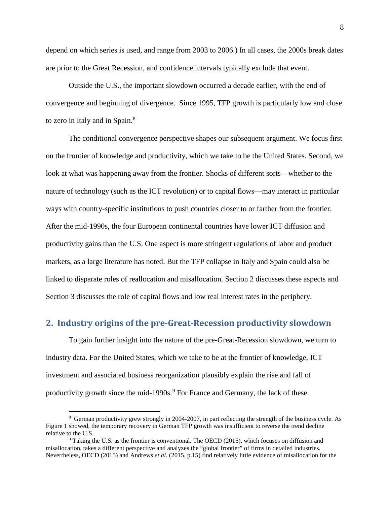depend on which series is used, and range from 2003 to 2006.) In all cases, the 2000s break dates are prior to the Great Recession, and confidence intervals typically exclude that event.

Outside the U.S., the important slowdown occurred a decade earlier, with the end of convergence and beginning of divergence. Since 1995, TFP growth is particularly low and close to zero in Italy and in Spain.<sup>[8](#page-9-1)</sup>

The conditional convergence perspective shapes our subsequent argument. We focus first on the frontier of knowledge and productivity, which we take to be the United States. Second, we look at what was happening away from the frontier. Shocks of different sorts—whether to the nature of technology (such as the ICT revolution) or to capital flows—may interact in particular ways with country-specific institutions to push countries closer to or farther from the frontier. After the mid-1990s, the four European continental countries have lower ICT diffusion and productivity gains than the U.S. One aspect is more stringent regulations of labor and product markets, as a large literature has noted. But the TFP collapse in Italy and Spain could also be linked to disparate roles of reallocation and misallocation. Section [2](#page-9-0) discusses these aspects and Section [3](#page-15-0) discusses the role of capital flows and low real interest rates in the periphery.

#### <span id="page-9-0"></span>**2. Industry origins of the pre-Great-Recession productivity slowdown**

To gain further insight into the nature of the pre-Great-Recession slowdown, we turn to industry data. For the United States, which we take to be at the frontier of knowledge, ICT investment and associated business reorganization plausibly explain the rise and fall of productivity growth since the mid-1[9](#page-9-2)90s.<sup>9</sup> For France and Germany, the lack of these

<span id="page-9-1"></span> $\frac{1}{8}$  German productivity grew strongly in 2004-2007, in part reflecting the strength of the business cycle. As [Figure 1](#page-36-0) showed, the temporary recovery in German TFP growth was insufficient to reverse the trend decline relative to the U.S.

<span id="page-9-2"></span> $9$  Taking the U.S. as the frontier is conventional. The OECD (2015), which focuses on diffusion and misallocation, takes a different perspective and analyzes the "global frontier" of firms in detailed industries. Nevertheless, OECD (2015) and Andrews *et al.* (2015, p.15) find relatively little evidence of misallocation for the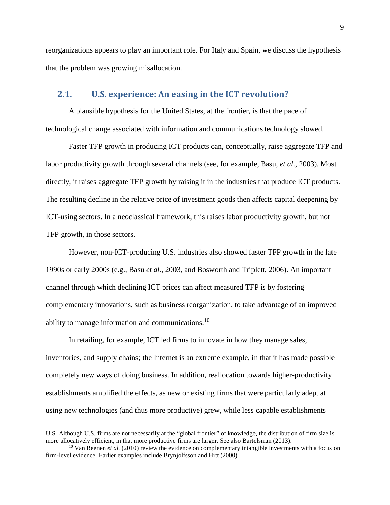reorganizations appears to play an important role. For Italy and Spain, we discuss the hypothesis that the problem was growing misallocation.

#### **2.1. U.S. experience: An easing in the ICT revolution?**

A plausible hypothesis for the United States, at the frontier, is that the pace of technological change associated with information and communications technology slowed.

Faster TFP growth in producing ICT products can, conceptually, raise aggregate TFP and labor productivity growth through several channels (see, for example, Basu, *et al.*, 2003). Most directly, it raises aggregate TFP growth by raising it in the industries that produce ICT products. The resulting decline in the relative price of investment goods then affects capital deepening by ICT-using sectors. In a neoclassical framework, this raises labor productivity growth, but not TFP growth, in those sectors.

However, non-ICT-producing U.S. industries also showed faster TFP growth in the late 1990s or early 2000s (e.g., Basu *et al.*, 2003, and Bosworth and Triplett, 2006). An important channel through which declining ICT prices can affect measured TFP is by fostering complementary innovations, such as business reorganization, to take advantage of an improved ability to manage information and communications.<sup>[10](#page-10-0)</sup>

In retailing, for example, ICT led firms to innovate in how they manage sales, inventories, and supply chains; the Internet is an extreme example, in that it has made possible completely new ways of doing business. In addition, reallocation towards higher-productivity establishments amplified the effects, as new or existing firms that were particularly adept at using new technologies (and thus more productive) grew, while less capable establishments

 $\overline{a}$ 

U.S. Although U.S. firms are not necessarily at the "global frontier" of knowledge, the distribution of firm size is more allocatively efficient, in that more productive firms are larger. See also Bartelsman (2013).

<span id="page-10-0"></span><sup>&</sup>lt;sup>10</sup> Van Reenen *et al.* (2010) review the evidence on complementary intangible investments with a focus on firm-level evidence. Earlier examples include Brynjolfsson and Hitt (2000).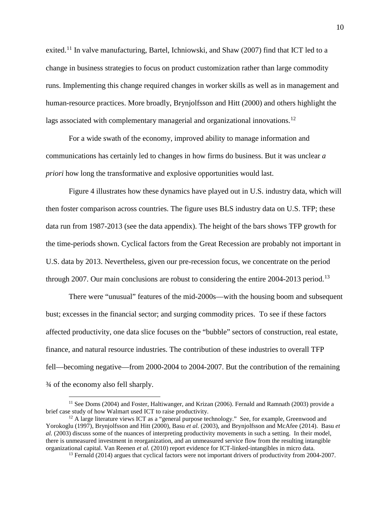exited.<sup>[11](#page-11-0)</sup> In valve manufacturing, Bartel, Ichniowski, and Shaw (2007) find that ICT led to a change in business strategies to focus on product customization rather than large commodity runs. Implementing this change required changes in worker skills as well as in management and human-resource practices. More broadly, Brynjolfsson and Hitt (2000) and others highlight the lags associated with complementary managerial and organizational innovations.<sup>[12](#page-11-1)</sup>

For a wide swath of the economy, improved ability to manage information and communications has certainly led to changes in how firms do business. But it was unclear *a priori* how long the transformative and explosive opportunities would last.

[Figure 4](#page-39-0) illustrates how these dynamics have played out in U.S. industry data, which will then foster comparison across countries. The figure uses BLS industry data on U.S. TFP; these data run from 1987-2013 (see the data appendix). The height of the bars shows TFP growth for the time-periods shown. Cyclical factors from the Great Recession are probably not important in U.S. data by 2013. Nevertheless, given our pre-recession focus, we concentrate on the period through 2007. Our main conclusions are robust to considering the entire  $2004-2013$  $2004-2013$  period.<sup>13</sup>

There were "unusual" features of the mid-2000s—with the housing boom and subsequent bust; excesses in the financial sector; and surging commodity prices. To see if these factors affected productivity, one data slice focuses on the "bubble" sectors of construction, real estate, finance, and natural resource industries. The contribution of these industries to overall TFP fell—becoming negative—from 2000-2004 to 2004-2007. But the contribution of the remaining ¾ of the economy also fell sharply.

<span id="page-11-0"></span><sup>&</sup>lt;sup>11</sup> See Doms (2004) and Foster, Haltiwanger, and Krizan (2006). Fernald and Ramnath (2003) provide a brief case study of how Walmart used ICT to raise productivity.

<span id="page-11-2"></span><span id="page-11-1"></span> $12$  A large literature views ICT as a "general purpose technology." See, for example, Greenwood and Yorokoglu (1997), Brynjolfsson and Hitt (2000), Basu *et al.* (2003), and Brynjolfsson and McAfee (2014). Basu *et al.* (2003) discuss some of the nuances of interpreting productivity movements in such a setting. In their model, there is unmeasured investment in reorganization, and an unmeasured service flow from the resulting intangible organizational capital. Van Reenen *et al.* (2010) report evidence for ICT-linked-intangibles in micro data.

<sup>&</sup>lt;sup>13</sup> Fernald (2014) argues that cyclical factors were not important drivers of productivity from 2004-2007.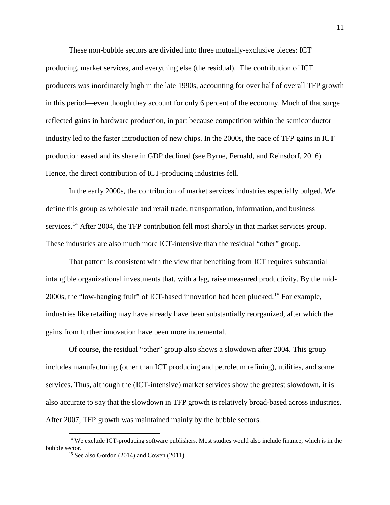These non-bubble sectors are divided into three mutually-exclusive pieces: ICT producing, market services, and everything else (the residual). The contribution of ICT producers was inordinately high in the late 1990s, accounting for over half of overall TFP growth in this period—even though they account for only 6 percent of the economy. Much of that surge reflected gains in hardware production, in part because competition within the semiconductor industry led to the faster introduction of new chips. In the 2000s, the pace of TFP gains in ICT production eased and its share in GDP declined (see Byrne, Fernald, and Reinsdorf, 2016). Hence, the direct contribution of ICT-producing industries fell.

In the early 2000s, the contribution of market services industries especially bulged. We define this group as wholesale and retail trade, transportation, information, and business services.<sup>[14](#page-12-0)</sup> After 2004, the TFP contribution fell most sharply in that market services group. These industries are also much more ICT-intensive than the residual "other" group.

That pattern is consistent with the view that benefiting from ICT requires substantial intangible organizational investments that, with a lag, raise measured productivity. By the mid-2000s, the "low-hanging fruit" of ICT-based innovation had been plucked. [15](#page-12-1) For example, industries like retailing may have already have been substantially reorganized, after which the gains from further innovation have been more incremental.

Of course, the residual "other" group also shows a slowdown after 2004. This group includes manufacturing (other than ICT producing and petroleum refining), utilities, and some services. Thus, although the (ICT-intensive) market services show the greatest slowdown, it is also accurate to say that the slowdown in TFP growth is relatively broad-based across industries. After 2007, TFP growth was maintained mainly by the bubble sectors.

<span id="page-12-1"></span><span id="page-12-0"></span><sup>&</sup>lt;sup>14</sup> We exclude ICT-producing software publishers. Most studies would also include finance, which is in the bubble sector.

<sup>&</sup>lt;sup>15</sup> See also Gordon (2014) and Cowen (2011).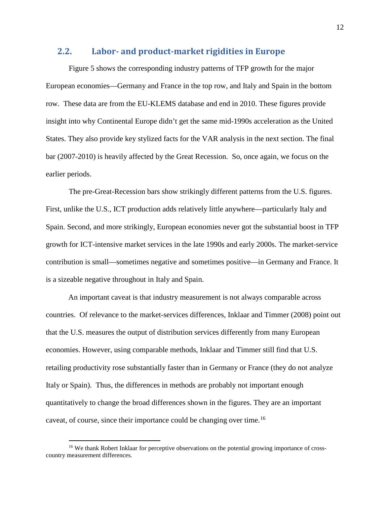#### **2.2. Labor- and product-market rigidities in Europe**

[Figure 5](#page-40-0) shows the corresponding industry patterns of TFP growth for the major European economies—Germany and France in the top row, and Italy and Spain in the bottom row. These data are from the EU-KLEMS database and end in 2010. These figures provide insight into why Continental Europe didn't get the same mid-1990s acceleration as the United States. They also provide key stylized facts for the VAR analysis in the next section. The final bar (2007-2010) is heavily affected by the Great Recession. So, once again, we focus on the earlier periods.

The pre-Great-Recession bars show strikingly different patterns from the U.S. figures. First, unlike the U.S., ICT production adds relatively little anywhere—particularly Italy and Spain. Second, and more strikingly, European economies never got the substantial boost in TFP growth for ICT-intensive market services in the late 1990s and early 2000s. The market-service contribution is small—sometimes negative and sometimes positive—in Germany and France. It is a sizeable negative throughout in Italy and Spain.

An important caveat is that industry measurement is not always comparable across countries. Of relevance to the market-services differences, Inklaar and Timmer (2008) point out that the U.S. measures the output of distribution services differently from many European economies. However, using comparable methods, Inklaar and Timmer still find that U.S. retailing productivity rose substantially faster than in Germany or France (they do not analyze Italy or Spain). Thus, the differences in methods are probably not important enough quantitatively to change the broad differences shown in the figures. They are an important caveat, of course, since their importance could be changing over time.[16](#page-13-0)

<span id="page-13-0"></span><sup>&</sup>lt;sup>16</sup> We thank Robert Inklaar for perceptive observations on the potential growing importance of crosscountry measurement differences.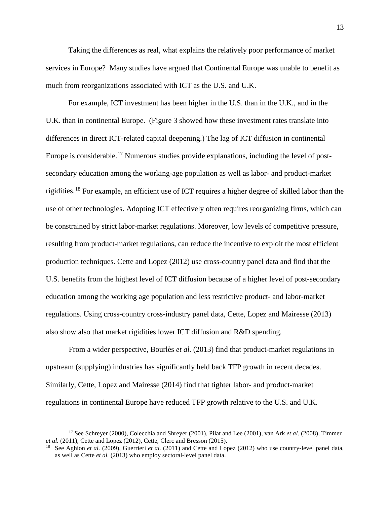Taking the differences as real, what explains the relatively poor performance of market services in Europe? Many studies have argued that Continental Europe was unable to benefit as much from reorganizations associated with ICT as the U.S. and U.K.

For example, ICT investment has been higher in the U.S. than in the U.K., and in the U.K. than in continental Europe. [\(Figure 3](#page-38-0) showed how these investment rates translate into differences in direct ICT-related capital deepening.) The lag of ICT diffusion in continental Europe is considerable.<sup>[17](#page-14-0)</sup> Numerous studies provide explanations, including the level of postsecondary education among the working-age population as well as labor- and product-market rigidities.[18](#page-14-1) For example, an efficient use of ICT requires a higher degree of skilled labor than the use of other technologies. Adopting ICT effectively often requires reorganizing firms, which can be constrained by strict labor-market regulations. Moreover, low levels of competitive pressure, resulting from product-market regulations, can reduce the incentive to exploit the most efficient production techniques. Cette and Lopez (2012) use cross-country panel data and find that the U.S. benefits from the highest level of ICT diffusion because of a higher level of post-secondary education among the working age population and less restrictive product- and labor-market regulations. Using cross-country cross-industry panel data, Cette, Lopez and Mairesse (2013) also show also that market rigidities lower ICT diffusion and R&D spending.

From a wider perspective, Bourlès *et al.* (2013) find that product-market regulations in upstream (supplying) industries has significantly held back TFP growth in recent decades. Similarly, Cette, Lopez and Mairesse (2014) find that tighter labor- and product-market regulations in continental Europe have reduced TFP growth relative to the U.S. and U.K.

<span id="page-14-0"></span> <sup>17</sup> See Schreyer (2000), Colecchia and Shreyer (2001), Pilat and Lee (2001), van Ark *et al.* (2008), Timmer *et al.* (2011), Cette and Lopez (2012), Cette, Clerc and Bresson (2015).

<span id="page-14-1"></span><sup>&</sup>lt;sup>18</sup> See Aghion *et al.* (2009), Guerrieri *et al.* (2011) and Cette and Lopez (2012) who use country-level panel data, as well as Cette *et al.* (2013) who employ sectoral-level panel data.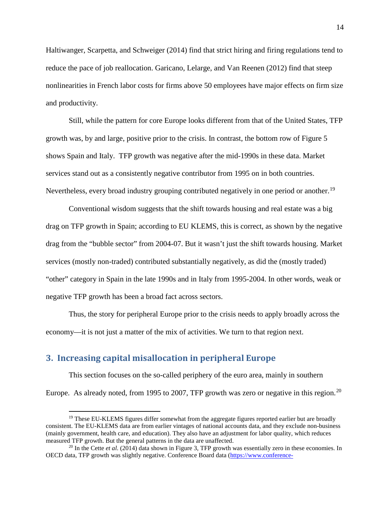Haltiwanger, Scarpetta, and Schweiger (2014) find that strict hiring and firing regulations tend to reduce the pace of job reallocation. Garicano, Lelarge, and Van Reenen (2012) find that steep nonlinearities in French labor costs for firms above 50 employees have major effects on firm size and productivity.

Still, while the pattern for core Europe looks different from that of the United States, TFP growth was, by and large, positive prior to the crisis. In contrast, the bottom row of [Figure 5](#page-40-0) shows Spain and Italy. TFP growth was negative after the mid-1990s in these data. Market services stand out as a consistently negative contributor from 1995 on in both countries. Nevertheless, every broad industry grouping contributed negatively in one period or another.<sup>[19](#page-15-1)</sup>

Conventional wisdom suggests that the shift towards housing and real estate was a big drag on TFP growth in Spain; according to EU KLEMS, this is correct, as shown by the negative drag from the "bubble sector" from 2004-07. But it wasn't just the shift towards housing. Market services (mostly non-traded) contributed substantially negatively, as did the (mostly traded) "other" category in Spain in the late 1990s and in Italy from 1995-2004. In other words, weak or negative TFP growth has been a broad fact across sectors.

Thus, the story for peripheral Europe prior to the crisis needs to apply broadly across the economy—it is not just a matter of the mix of activities. We turn to that region next.

### <span id="page-15-0"></span>**3. Increasing capital misallocation in peripheral Europe**

This section focuses on the so-called periphery of the euro area, mainly in southern Europe. As already noted, from 1995 to [20](#page-15-2)07, TFP growth was zero or negative in this region.<sup>20</sup>

<span id="page-15-1"></span><sup>&</sup>lt;sup>19</sup> These EU-KLEMS figures differ somewhat from the aggregate figures reported earlier but are broadly consistent. The EU-KLEMS data are from earlier vintages of national accounts data, and they exclude non-business (mainly government, health care, and education). They also have an adjustment for labor quality, which reduces measured TFP growth. But the general patterns in the data are unaffected.

<span id="page-15-2"></span><sup>20</sup> In the Cette *et al*. (2014) data shown in [Figure 3,](#page-38-0) TFP growth was essentially zero in these economies. In OECD data, TFP growth was slightly negative. Conference Board data [\(https://www.conference-](https://www.conference-board.org/data/economydatabase/index.cfm?id=27762)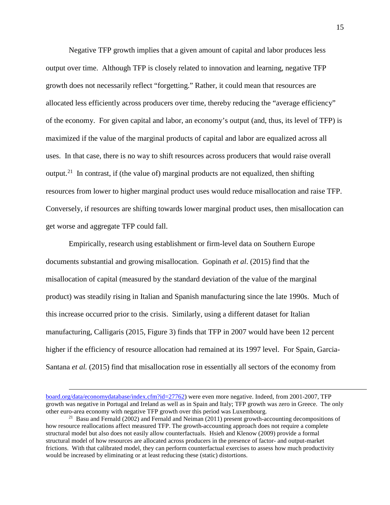Negative TFP growth implies that a given amount of capital and labor produces less output over time. Although TFP is closely related to innovation and learning, negative TFP growth does not necessarily reflect "forgetting." Rather, it could mean that resources are allocated less efficiently across producers over time, thereby reducing the "average efficiency" of the economy. For given capital and labor, an economy's output (and, thus, its level of TFP) is maximized if the value of the marginal products of capital and labor are equalized across all uses. In that case, there is no way to shift resources across producers that would raise overall output.<sup>[21](#page-16-0)</sup> In contrast, if (the value of) marginal products are not equalized, then shifting resources from lower to higher marginal product uses would reduce misallocation and raise TFP. Conversely, if resources are shifting towards lower marginal product uses, then misallocation can get worse and aggregate TFP could fall.

Empirically, research using establishment or firm-level data on Southern Europe documents substantial and growing misallocation. Gopinath *et al*. (2015) find that the misallocation of capital (measured by the standard deviation of the value of the marginal product) was steadily rising in Italian and Spanish manufacturing since the late 1990s. Much of this increase occurred prior to the crisis. Similarly, using a different dataset for Italian manufacturing, Calligaris (2015, Figure 3) finds that TFP in 2007 would have been 12 percent higher if the efficiency of resource allocation had remained at its 1997 level. For Spain, Garcia-Santana *et al.* (2015) find that misallocation rose in essentially all sectors of the economy from

 $\overline{a}$ 

[board.org/data/economydatabase/index.cfm?id=27762\)](https://www.conference-board.org/data/economydatabase/index.cfm?id=27762) were even more negative. Indeed, from 2001-2007, TFP growth was negative in Portugal and Ireland as well as in Spain and Italy; TFP growth was zero in Greece. The only other euro-area economy with negative TFP growth over this period was Luxembourg.

<span id="page-16-0"></span><sup>&</sup>lt;sup>21</sup> Basu and Fernald (2002) and Fernald and Neiman (2011) present growth-accounting decompositions of how resource reallocations affect measured TFP. The growth-accounting approach does not require a complete structural model but also does not easily allow counterfactuals. Hsieh and Klenow (2009) provide a formal structural model of how resources are allocated across producers in the presence of factor- and output-market frictions. With that calibrated model, they can perform counterfactual exercises to assess how much productivity would be increased by eliminating or at least reducing these (static) distortions.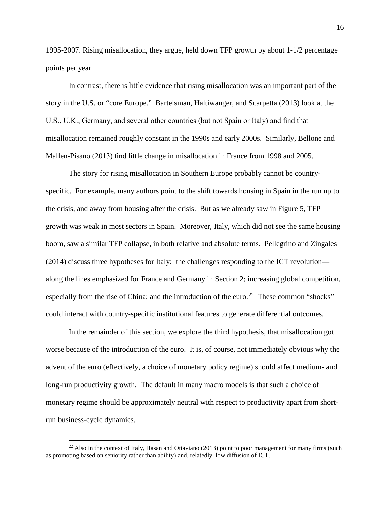1995-2007. Rising misallocation, they argue, held down TFP growth by about 1-1/2 percentage points per year.

In contrast, there is little evidence that rising misallocation was an important part of the story in the U.S. or "core Europe." Bartelsman, Haltiwanger, and Scarpetta (2013) look at the U.S., U.K., Germany, and several other countries (but not Spain or Italy) and find that misallocation remained roughly constant in the 1990s and early 2000s. Similarly, Bellone and Mallen-Pisano (2013) find little change in misallocation in France from 1998 and 2005.

The story for rising misallocation in Southern Europe probably cannot be countryspecific. For example, many authors point to the shift towards housing in Spain in the run up to the crisis, and away from housing after the crisis. But as we already saw in [Figure 5,](#page-40-0) TFP growth was weak in most sectors in Spain. Moreover, Italy, which did not see the same housing boom, saw a similar TFP collapse, in both relative and absolute terms. Pellegrino and Zingales (2014) discuss three hypotheses for Italy: the challenges responding to the ICT revolution along the lines emphasized for France and Germany in Section 2; increasing global competition, especially from the rise of China; and the introduction of the euro.<sup>22</sup> These common "shocks" could interact with country-specific institutional features to generate differential outcomes.

In the remainder of this section, we explore the third hypothesis, that misallocation got worse because of the introduction of the euro. It is, of course, not immediately obvious why the advent of the euro (effectively, a choice of monetary policy regime) should affect medium- and long-run productivity growth. The default in many macro models is that such a choice of monetary regime should be approximately neutral with respect to productivity apart from shortrun business-cycle dynamics.

<span id="page-17-0"></span> $^{22}$  Also in the context of Italy, Hasan and Ottaviano (2013) point to poor management for many firms (such as promoting based on seniority rather than ability) and, relatedly, low diffusion of ICT.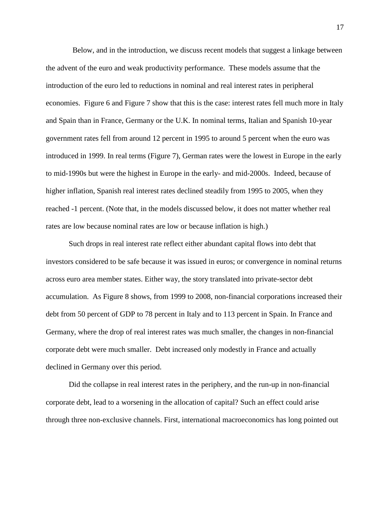Below, and in the introduction, we discuss recent models that suggest a linkage between the advent of the euro and weak productivity performance. These models assume that the introduction of the euro led to reductions in nominal and real interest rates in peripheral economies. [Figure 6](#page-41-0) and [Figure 7](#page-42-0) show that this is the case: interest rates fell much more in Italy and Spain than in France, Germany or the U.K. In nominal terms, Italian and Spanish 10-year government rates fell from around 12 percent in 1995 to around 5 percent when the euro was introduced in 1999. In real terms [\(Figure 7\)](#page-42-0), German rates were the lowest in Europe in the early to mid-1990s but were the highest in Europe in the early- and mid-2000s. Indeed, because of higher inflation, Spanish real interest rates declined steadily from 1995 to 2005, when they reached -1 percent. (Note that, in the models discussed below, it does not matter whether real rates are low because nominal rates are low or because inflation is high.)

Such drops in real interest rate reflect either abundant capital flows into debt that investors considered to be safe because it was issued in euros; or convergence in nominal returns across euro area member states. Either way, the story translated into private-sector debt accumulation. As [Figure 8](#page-43-0) shows, from 1999 to 2008, non-financial corporations increased their debt from 50 percent of GDP to 78 percent in Italy and to 113 percent in Spain. In France and Germany, where the drop of real interest rates was much smaller, the changes in non-financial corporate debt were much smaller. Debt increased only modestly in France and actually declined in Germany over this period.

Did the collapse in real interest rates in the periphery, and the run-up in non-financial corporate debt, lead to a worsening in the allocation of capital? Such an effect could arise through three non-exclusive channels. First, international macroeconomics has long pointed out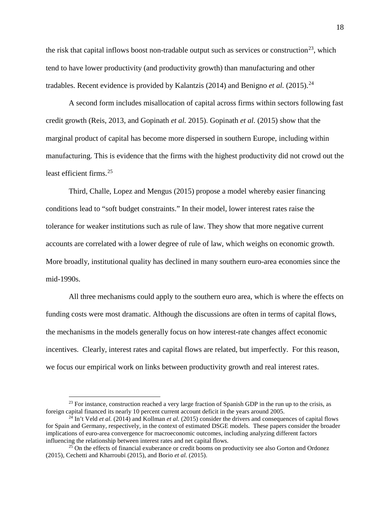the risk that capital inflows boost non-tradable output such as services or construction<sup>23</sup>, which tend to have lower productivity (and productivity growth) than manufacturing and other tradables. Recent evidence is provided by Kalantzis (2014) and Benigno *et al.* (2015).<sup>[24](#page-19-1)</sup>

A second form includes misallocation of capital across firms within sectors following fast credit growth (Reis, 2013, and Gopinath *et al.* 2015). Gopinath *et al.* (2015) show that the marginal product of capital has become more dispersed in southern Europe, including within manufacturing. This is evidence that the firms with the highest productivity did not crowd out the least efficient firms. [25](#page-19-2)

Third, Challe, Lopez and Mengus (2015) propose a model whereby easier financing conditions lead to "soft budget constraints." In their model, lower interest rates raise the tolerance for weaker institutions such as rule of law. They show that more negative current accounts are correlated with a lower degree of rule of law, which weighs on economic growth. More broadly, institutional quality has declined in many southern euro-area economies since the mid-1990s.

All three mechanisms could apply to the southern euro area, which is where the effects on funding costs were most dramatic. Although the discussions are often in terms of capital flows, the mechanisms in the models generally focus on how interest-rate changes affect economic incentives. Clearly, interest rates and capital flows are related, but imperfectly. For this reason, we focus our empirical work on links between productivity growth and real interest rates.

<span id="page-19-0"></span> $^{23}$  For instance, construction reached a very large fraction of Spanish GDP in the run up to the crisis, as foreign capital financed its nearly 10 percent current account deficit in the years around 2005.

<span id="page-19-1"></span> $^{24}$  In't Veld *et al.* (2014) and Kollman *et al.* (2015) consider the drivers and consequences of capital flows for Spain and Germany, respectively, in the context of estimated DSGE models. These papers consider the broader implications of euro-area convergence for macroeconomic outcomes, including analyzing different factors influencing the relationship between interest rates and net capital flows.

<span id="page-19-2"></span> $^{25}$  On the effects of financial exuberance or credit booms on productivity see also Gorton and Ordonez (2015), Cechetti and Kharroubi (2015), and Borio *et al.* (2015).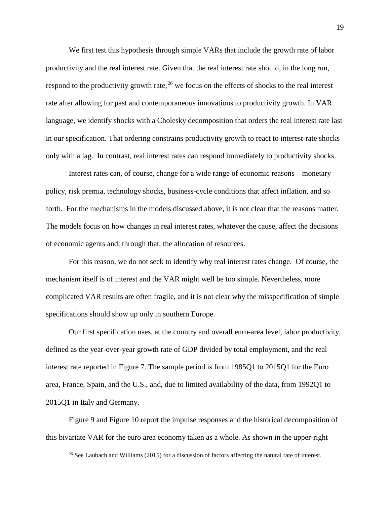We first test this hypothesis through simple VARs that include the growth rate of labor productivity and the real interest rate. Given that the real interest rate should, in the long run, respond to the productivity growth rate,<sup>[26](#page-20-0)</sup> we focus on the effects of shocks to the real interest rate after allowing for past and contemporaneous innovations to productivity growth. In VAR language, we identify shocks with a Cholesky decomposition that orders the real interest rate last in our specification. That ordering constrains productivity growth to react to interest-rate shocks only with a lag. In contrast, real interest rates can respond immediately to productivity shocks.

Interest rates can, of course, change for a wide range of economic reasons—monetary policy, risk premia, technology shocks, business-cycle conditions that affect inflation, and so forth. For the mechanisms in the models discussed above, it is not clear that the reasons matter. The models focus on how changes in real interest rates, whatever the cause, affect the decisions of economic agents and, through that, the allocation of resources.

For this reason, we do not seek to identify why real interest rates change. Of course, the mechanism itself is of interest and the VAR might well be too simple. Nevertheless, more complicated VAR results are often fragile, and it is not clear why the misspecification of simple specifications should show up only in southern Europe.

Our first specification uses, at the country and overall euro-area level, labor productivity, defined as the year-over-year growth rate of GDP divided by total employment, and the real interest rate reported in [Figure 7.](#page-42-0) The sample period is from 1985Q1 to 2015Q1 for the Euro area, France, Spain, and the U.S., and, due to limited availability of the data, from 1992Q1 to 2015Q1 in Italy and Germany.

<span id="page-20-0"></span>[Figure 9](#page-44-0) and [Figure 10](#page-45-0) report the impulse responses and the historical decomposition of this bivariate VAR for the euro area economy taken as a whole. As shown in the upper-right

<sup>&</sup>lt;sup>26</sup> See Laubach and Williams (2015) for a discussion of factors affecting the natural rate of interest.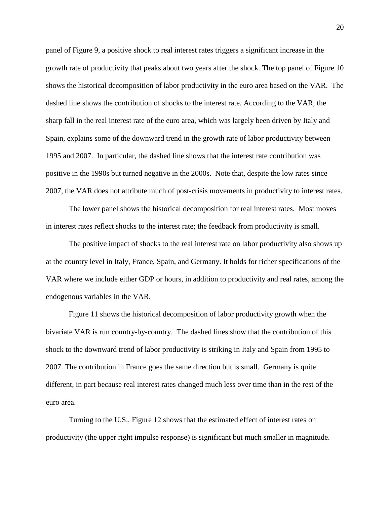panel of [Figure 9,](#page-44-0) a positive shock to real interest rates triggers a significant increase in the growth rate of productivity that peaks about two years after the shock. The top panel of [Figure 10](#page-45-0) shows the historical decomposition of labor productivity in the euro area based on the VAR. The dashed line shows the contribution of shocks to the interest rate. According to the VAR, the sharp fall in the real interest rate of the euro area, which was largely been driven by Italy and Spain, explains some of the downward trend in the growth rate of labor productivity between 1995 and 2007. In particular, the dashed line shows that the interest rate contribution was positive in the 1990s but turned negative in the 2000s. Note that, despite the low rates since 2007, the VAR does not attribute much of post-crisis movements in productivity to interest rates.

The lower panel shows the historical decomposition for real interest rates. Most moves in interest rates reflect shocks to the interest rate; the feedback from productivity is small.

The positive impact of shocks to the real interest rate on labor productivity also shows up at the country level in Italy, France, Spain, and Germany. It holds for richer specifications of the VAR where we include either GDP or hours, in addition to productivity and real rates, among the endogenous variables in the VAR.

[Figure 11](#page-46-0) shows the historical decomposition of labor productivity growth when the bivariate VAR is run country-by-country. The dashed lines show that the contribution of this shock to the downward trend of labor productivity is striking in Italy and Spain from 1995 to 2007. The contribution in France goes the same direction but is small. Germany is quite different, in part because real interest rates changed much less over time than in the rest of the euro area.

Turning to the U.S., [Figure 12](#page-46-1) shows that the estimated effect of interest rates on productivity (the upper right impulse response) is significant but much smaller in magnitude.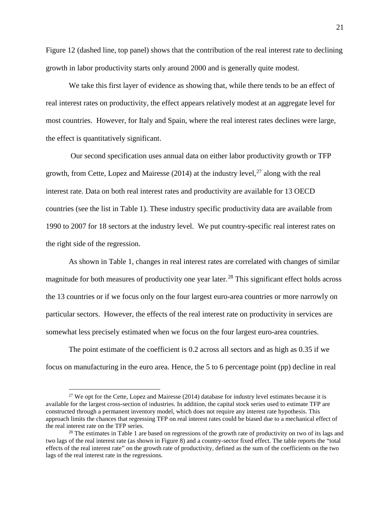[Figure 12](#page-46-1) (dashed line, top panel) shows that the contribution of the real interest rate to declining growth in labor productivity starts only around 2000 and is generally quite modest.

We take this first layer of evidence as showing that, while there tends to be an effect of real interest rates on productivity, the effect appears relatively modest at an aggregate level for most countries. However, for Italy and Spain, where the real interest rates declines were large, the effect is quantitatively significant.

Our second specification uses annual data on either labor productivity growth or TFP growth, from Cette, Lopez and Mairesse  $(2014)$  at the industry level,<sup>[27](#page-22-0)</sup> along with the real interest rate. Data on both real interest rates and productivity are available for 13 OECD countries (see the list in Table 1). These industry specific productivity data are available from 1990 to 2007 for 18 sectors at the industry level. We put country-specific real interest rates on the right side of the regression.

As shown in Table 1, changes in real interest rates are correlated with changes of similar magnitude for both measures of productivity one year later.<sup>[28](#page-22-1)</sup> This significant effect holds across the 13 countries or if we focus only on the four largest euro-area countries or more narrowly on particular sectors. However, the effects of the real interest rate on productivity in services are somewhat less precisely estimated when we focus on the four largest euro-area countries.

The point estimate of the coefficient is 0.2 across all sectors and as high as 0.35 if we focus on manufacturing in the euro area. Hence, the 5 to 6 percentage point (pp) decline in real

<span id="page-22-0"></span> $27$  We opt for the Cette, Lopez and Mairesse (2014) database for industry level estimates because it is available for the largest cross-section of industries. In addition, the capital stock series used to estimate TFP are constructed through a permanent inventory model, which does not require any interest rate hypothesis. This approach limits the chances that regressing TFP on real interest rates could be biased due to a mechanical effect of the real interest rate on the TFP series.<br><sup>28</sup> The estimates in Table 1 are based on regressions of the growth rate of productivity on two of its lags and

<span id="page-22-1"></span>two lags of the real interest rate (as shown in Figure 8) and a country-sector fixed effect. The table reports the "total effects of the real interest rate" on the growth rate of productivity, defined as the sum of the coefficients on the two lags of the real interest rate in the regressions.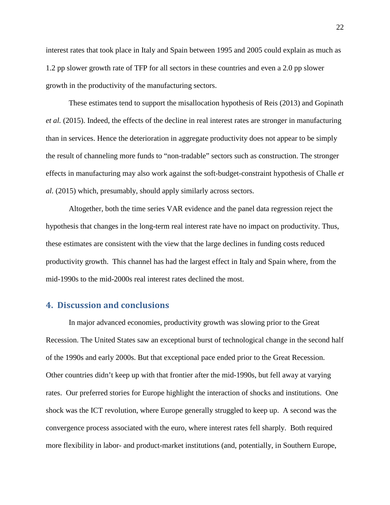interest rates that took place in Italy and Spain between 1995 and 2005 could explain as much as 1.2 pp slower growth rate of TFP for all sectors in these countries and even a 2.0 pp slower growth in the productivity of the manufacturing sectors.

These estimates tend to support the misallocation hypothesis of Reis (2013) and Gopinath *et al.* (2015). Indeed, the effects of the decline in real interest rates are stronger in manufacturing than in services. Hence the deterioration in aggregate productivity does not appear to be simply the result of channeling more funds to "non-tradable" sectors such as construction. The stronger effects in manufacturing may also work against the soft-budget-constraint hypothesis of Challe *et al.* (2015) which, presumably, should apply similarly across sectors.

Altogether, both the time series VAR evidence and the panel data regression reject the hypothesis that changes in the long-term real interest rate have no impact on productivity. Thus, these estimates are consistent with the view that the large declines in funding costs reduced productivity growth. This channel has had the largest effect in Italy and Spain where, from the mid-1990s to the mid-2000s real interest rates declined the most.

#### <span id="page-23-0"></span>**4. Discussion and conclusions**

In major advanced economies, productivity growth was slowing prior to the Great Recession. The United States saw an exceptional burst of technological change in the second half of the 1990s and early 2000s. But that exceptional pace ended prior to the Great Recession. Other countries didn't keep up with that frontier after the mid-1990s, but fell away at varying rates. Our preferred stories for Europe highlight the interaction of shocks and institutions. One shock was the ICT revolution, where Europe generally struggled to keep up. A second was the convergence process associated with the euro, where interest rates fell sharply. Both required more flexibility in labor- and product-market institutions (and, potentially, in Southern Europe,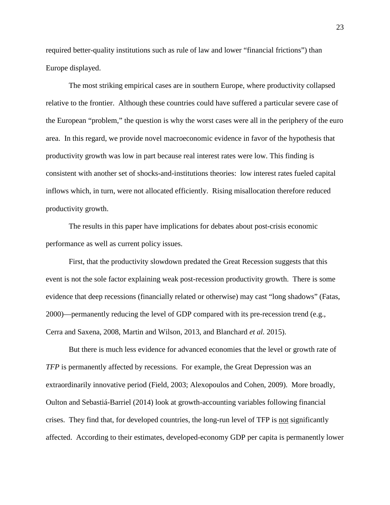required better-quality institutions such as rule of law and lower "financial frictions") than Europe displayed.

The most striking empirical cases are in southern Europe, where productivity collapsed relative to the frontier. Although these countries could have suffered a particular severe case of the European "problem," the question is why the worst cases were all in the periphery of the euro area. In this regard, we provide novel macroeconomic evidence in favor of the hypothesis that productivity growth was low in part because real interest rates were low. This finding is consistent with another set of shocks-and-institutions theories: low interest rates fueled capital inflows which, in turn, were not allocated efficiently. Rising misallocation therefore reduced productivity growth.

The results in this paper have implications for debates about post-crisis economic performance as well as current policy issues.

First, that the productivity slowdown predated the Great Recession suggests that this event is not the sole factor explaining weak post-recession productivity growth. There is some evidence that deep recessions (financially related or otherwise) may cast "long shadows" (Fatas, 2000)—permanently reducing the level of GDP compared with its pre-recession trend (e.g., Cerra and Saxena, 2008, Martin and Wilson, 2013, and Blanchard *et al.* 2015).

But there is much less evidence for advanced economies that the level or growth rate of *TFP* is permanently affected by recessions. For example, the Great Depression was an extraordinarily innovative period (Field, 2003; Alexopoulos and Cohen, 2009). More broadly, Oulton and Sebastiá-Barriel (2014) look at growth-accounting variables following financial crises. They find that, for developed countries, the long-run level of TFP is not significantly affected. According to their estimates, developed-economy GDP per capita is permanently lower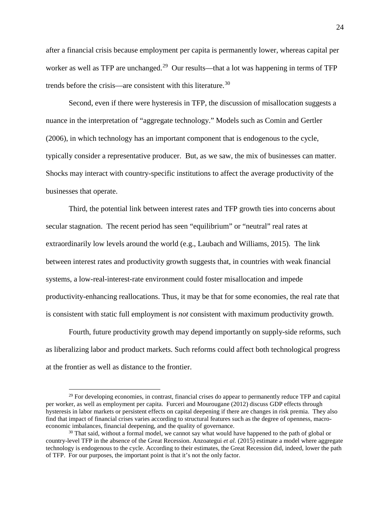after a financial crisis because employment per capita is permanently lower, whereas capital per worker as well as TFP are unchanged.<sup>[29](#page-25-0)</sup> Our results—that a lot was happening in terms of TFP trends before the crisis—are consistent with this literature. [30](#page-25-1)

Second, even if there were hysteresis in TFP, the discussion of misallocation suggests a nuance in the interpretation of "aggregate technology." Models such as Comin and Gertler (2006), in which technology has an important component that is endogenous to the cycle, typically consider a representative producer. But, as we saw, the mix of businesses can matter. Shocks may interact with country-specific institutions to affect the average productivity of the businesses that operate.

Third, the potential link between interest rates and TFP growth ties into concerns about secular stagnation. The recent period has seen "equilibrium" or "neutral" real rates at extraordinarily low levels around the world (e.g., Laubach and Williams, 2015). The link between interest rates and productivity growth suggests that, in countries with weak financial systems, a low-real-interest-rate environment could foster misallocation and impede productivity-enhancing reallocations. Thus, it may be that for some economies, the real rate that is consistent with static full employment is *not* consistent with maximum productivity growth.

Fourth, future productivity growth may depend importantly on supply-side reforms, such as liberalizing labor and product markets. Such reforms could affect both technological progress at the frontier as well as distance to the frontier.

<span id="page-25-0"></span><sup>&</sup>lt;sup>29</sup> For developing economies, in contrast, financial crises do appear to permanently reduce TFP and capital per worker, as well as employment per capita. Furceri and Mourougane (2012) discuss GDP effects through hysteresis in labor markets or persistent effects on capital deepening if there are changes in risk premia. They also find that impact of financial crises varies according to structural features such as the degree of openness, macroeconomic imbalances, financial deepening, and the quality of governance.

<span id="page-25-1"></span><sup>&</sup>lt;sup>30</sup> That said, without a formal model, we cannot say what would have happened to the path of global or country-level TFP in the absence of the Great Recession. Anzoategui *et al.* (2015) estimate a model where aggregate technology is endogenous to the cycle. According to their estimates, the Great Recession did, indeed, lower the path of TFP. For our purposes, the important point is that it's not the only factor.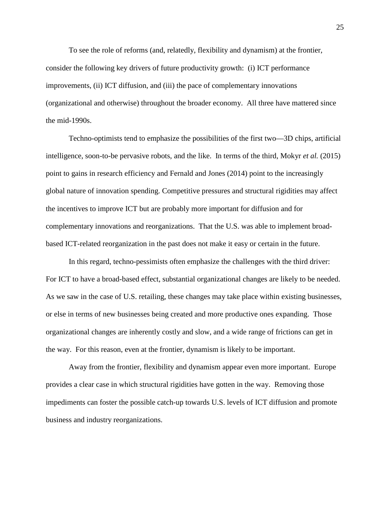To see the role of reforms (and, relatedly, flexibility and dynamism) at the frontier, consider the following key drivers of future productivity growth: (i) ICT performance improvements, (ii) ICT diffusion, and (iii) the pace of complementary innovations (organizational and otherwise) throughout the broader economy. All three have mattered since the mid-1990s.

Techno-optimists tend to emphasize the possibilities of the first two—3D chips, artificial intelligence, soon-to-be pervasive robots, and the like. In terms of the third, Mokyr *et al.* (2015) point to gains in research efficiency and Fernald and Jones (2014) point to the increasingly global nature of innovation spending. Competitive pressures and structural rigidities may affect the incentives to improve ICT but are probably more important for diffusion and for complementary innovations and reorganizations. That the U.S. was able to implement broadbased ICT-related reorganization in the past does not make it easy or certain in the future.

In this regard, techno-pessimists often emphasize the challenges with the third driver: For ICT to have a broad-based effect, substantial organizational changes are likely to be needed. As we saw in the case of U.S. retailing, these changes may take place within existing businesses, or else in terms of new businesses being created and more productive ones expanding. Those organizational changes are inherently costly and slow, and a wide range of frictions can get in the way. For this reason, even at the frontier, dynamism is likely to be important.

Away from the frontier, flexibility and dynamism appear even more important. Europe provides a clear case in which structural rigidities have gotten in the way. Removing those impediments can foster the possible catch-up towards U.S. levels of ICT diffusion and promote business and industry reorganizations.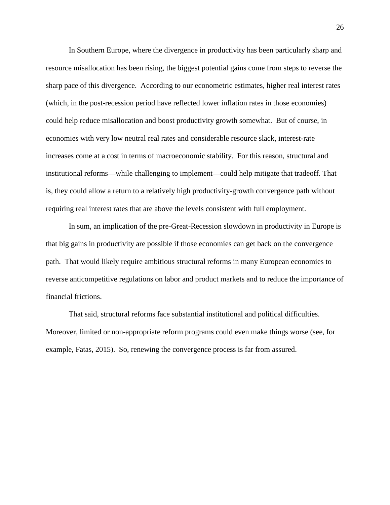In Southern Europe, where the divergence in productivity has been particularly sharp and resource misallocation has been rising, the biggest potential gains come from steps to reverse the sharp pace of this divergence. According to our econometric estimates, higher real interest rates (which, in the post-recession period have reflected lower inflation rates in those economies) could help reduce misallocation and boost productivity growth somewhat. But of course, in economies with very low neutral real rates and considerable resource slack, interest-rate increases come at a cost in terms of macroeconomic stability. For this reason, structural and institutional reforms—while challenging to implement—could help mitigate that tradeoff. That is, they could allow a return to a relatively high productivity-growth convergence path without requiring real interest rates that are above the levels consistent with full employment.

In sum, an implication of the pre-Great-Recession slowdown in productivity in Europe is that big gains in productivity are possible if those economies can get back on the convergence path. That would likely require ambitious structural reforms in many European economies to reverse anticompetitive regulations on labor and product markets and to reduce the importance of financial frictions.

That said, structural reforms face substantial institutional and political difficulties. Moreover, limited or non-appropriate reform programs could even make things worse (see, for example, Fatas, 2015). So, renewing the convergence process is far from assured.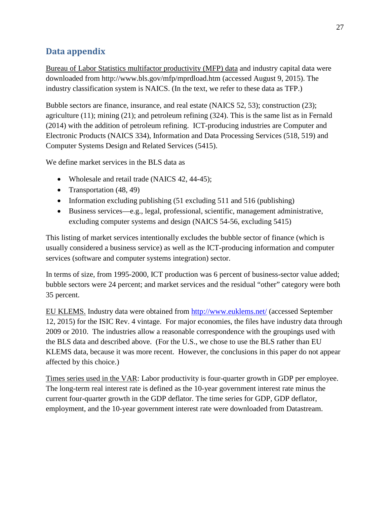## **Data appendix**

Bureau of Labor Statistics multifactor productivity (MFP) data and industry capital data were downloaded from http://www.bls.gov/mfp/mprdload.htm (accessed August 9, 2015). The industry classification system is NAICS. (In the text, we refer to these data as TFP.)

Bubble sectors are finance, insurance, and real estate (NAICS 52, 53); construction (23); agriculture (11); mining (21); and petroleum refining (324). This is the same list as in Fernald (2014) with the addition of petroleum refining. ICT-producing industries are Computer and Electronic Products (NAICS 334), Information and Data Processing Services (518, 519) and Computer Systems Design and Related Services (5415).

We define market services in the BLS data as

- Wholesale and retail trade (NAICS 42, 44-45);
- Transportation (48, 49)
- Information excluding publishing (51 excluding 511 and 516 (publishing)
- Business services—e.g., legal, professional, scientific, management administrative, excluding computer systems and design (NAICS 54-56, excluding 5415)

This listing of market services intentionally excludes the bubble sector of finance (which is usually considered a business service) as well as the ICT-producing information and computer services (software and computer systems integration) sector.

In terms of size, from 1995-2000, ICT production was 6 percent of business-sector value added; bubble sectors were 24 percent; and market services and the residual "other" category were both 35 percent.

EU KLEMS. Industry data were obtained from<http://www.euklems.net/> (accessed September 12, 2015) for the ISIC Rev. 4 vintage. For major economies, the files have industry data through 2009 or 2010. The industries allow a reasonable correspondence with the groupings used with the BLS data and described above. (For the U.S., we chose to use the BLS rather than EU KLEMS data, because it was more recent. However, the conclusions in this paper do not appear affected by this choice.)

Times series used in the VAR: Labor productivity is four-quarter growth in GDP per employee. The long-term real interest rate is defined as the 10-year government interest rate minus the current four-quarter growth in the GDP deflator. The time series for GDP, GDP deflator, employment, and the 10-year government interest rate were downloaded from Datastream.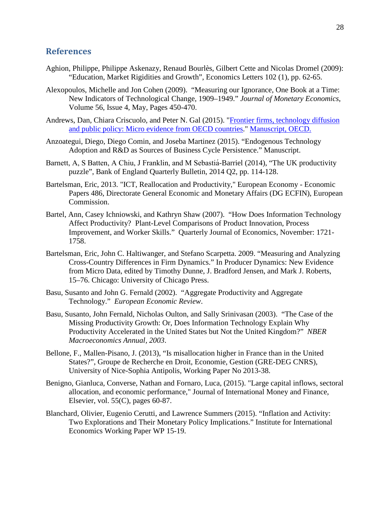#### **References**

- Aghion, Philippe, Philippe Askenazy, Renaud Bourlès, Gilbert Cette and Nicolas Dromel (2009): "Education, Market Rigidities and Growth", Economics Letters 102 (1), pp. 62-65.
- Alexopoulos, Michelle and Jon Cohen (2009). "Measuring our Ignorance, One Book at a Time: New Indicators of Technological Change, 1909–1949." *Journal of Monetary Economics*, Volume 56, Issue 4, May, Pages 450-470.
- Andrews, Dan, Chiara Criscuolo, and Peter N. Gal (2015). ["Frontier firms, technology diffusion](http://www.oecd.org/eco/growth/Frontier-Firms-Technology-Diffusion-and-Public-Policy-Micro-Evidence-from-OECD-Countries.pdf)  [and public policy: Micro evidence from OECD countries.](http://www.oecd.org/eco/growth/Frontier-Firms-Technology-Diffusion-and-Public-Policy-Micro-Evidence-from-OECD-Countries.pdf)" [Manuscript, OECD.](http://www.oecd.org/eco/growth/Frontier-Firms-Technology-Diffusion-and-Public-Policy-Micro-Evidence-from-OECD-Countries.pdf)
- Anzoategui, Diego, Diego Comin, and Joseba Martinez (2015). "Endogenous Technology Adoption and R&D as Sources of Business Cycle Persistence." Manuscript.
- Barnett, A, S Batten, A Chiu, J Franklin, and M Sebastiá -Barriel (2014), "The UK productivity puzzle", Bank of England Quarterly Bulletin, 2014 Q2, pp. 114-128.
- Bartelsman, Eric, 2013. "ICT, Reallocation and Productivity," European Economy Economic Papers 486, Directorate General Economic and Monetary Affairs (DG ECFIN), European Commission.
- Bartel, Ann, Casey Ichniowski, and Kathryn Shaw (2007). "How Does Information Technology Affect Productivity? Plant-Level Comparisons of Product Innovation, Process Improvement, and Worker Skills." Quarterly Journal of Economics, November: 1721- 1758.
- Bartelsman, Eric, John C. Haltiwanger, and Stefano Scarpetta. 2009. "Measuring and Analyzing Cross-Country Differences in Firm Dynamics." In Producer Dynamics: New Evidence from Micro Data, edited by Timothy Dunne, J. Bradford Jensen, and Mark J. Roberts, 15–76. Chicago: University of Chicago Press.
- Basu, Susanto and John G. Fernald (2002). "Aggregate Productivity and Aggregate Technology." *European Economic Review*.
- Basu, Susanto, John Fernald, Nicholas Oulton, and Sally Srinivasan (2003). "The Case of the Missing Productivity Growth: Or, Does Information Technology Explain Why Productivity Accelerated in the United States but Not the United Kingdom?" *NBER Macroeconomics Annual, 2003*.
- Bellone, F., Mallen-Pisano, J. (2013), "Is misallocation higher in France than in the United States?", Groupe de Recherche en Droit, Economie, Gestion (GRE-DEG CNRS), University of Nice-Sophia Antipolis, Working Paper No 2013-38.
- Benigno, Gianluca, Converse, Nathan and Fornaro, Luca, (2015). "Large capital inflows, sectoral allocation, and economic performance," Journal of International Money and Finance, Elsevier, vol.  $55(C)$ , pages 60-87.
- Blanchard, Olivier, Eugenio Cerutti, and Lawrence Summers (2015). "Inflation and Activity: Two Explorations and Their Monetary Policy Implications." Institute for International Economics Working Paper WP 15-19.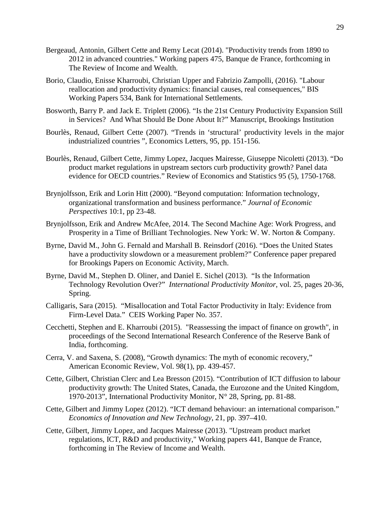- Bergeaud, Antonin, Gilbert Cette and Remy Lecat (2014). "Productivity trends from 1890 to 2012 in advanced countries." Working papers 475, Banque de France, forthcoming in The Review of Income and Wealth.
- Borio, Claudio, Enisse Kharroubi, Christian Upper and Fabrizio Zampolli, (2016). "Labour reallocation and productivity dynamics: financial causes, real consequences," BIS Working Papers 534, Bank for International Settlements.
- Bosworth, Barry P. and Jack E. Triplett (2006). "Is the 21st Century Productivity Expansion Still in Services? And What Should Be Done About It?" Manuscript, Brookings Institution
- Bourlès, Renaud, Gilbert Cette (2007). "Trends in 'structural' productivity levels in the major industrialized countries ", Economics Letters, 95, pp. 151-156.
- Bourlès, Renaud, Gilbert Cette, Jimmy Lopez, Jacques Mairesse, Giuseppe Nicoletti (2013). "Do product market regulations in upstream sectors curb productivity growth? Panel data evidence for OECD countries." Review of Economics and Statistics 95 (5), 1750-1768.
- Brynjolfsson, Erik and Lorin Hitt (2000). "Beyond computation: Information technology, organizational transformation and business performance." *Journal of Economic Perspectives* 10:1, pp 23-48.
- Brynjolfsson, Erik and Andrew McAfee, 2014. The Second Machine Age: Work Progress, and Prosperity in a Time of Brilliant Technologies. New York: W. W. Norton & Company.
- Byrne, David M., John G. Fernald and Marshall B. Reinsdorf (2016). "Does the United States have a productivity slowdown or a measurement problem?" Conference paper prepared for Brookings Papers on Economic Activity, March.
- Byrne, David M., Stephen D. Oliner, and Daniel E. Sichel (2013). "Is the Information Technology Revolution Over?" *International Productivity Monitor*, vol. 25, pages 20-36, Spring.
- Calligaris, Sara (2015). "Misallocation and Total Factor Productivity in Italy: Evidence from Firm-Level Data." CEIS Working Paper No. 357.
- Cecchetti, Stephen and E. Kharroubi (2015). "Reassessing the impact of finance on growth", in proceedings of the Second International Research Conference of the Reserve Bank of India, forthcoming.
- Cerra, V. and Saxena, S. (2008), "Growth dynamics: The myth of economic recovery," American Economic Review, Vol. 98(1), pp. 439-457.
- Cette, Gilbert, Christian Clerc and Lea Bresson (2015). "Contribution of ICT diffusion to labour productivity growth: The United States, Canada, the Eurozone and the United Kingdom, 1970-2013", International Productivity Monitor, N° 28, Spring, pp. 81-88.
- Cette, Gilbert and Jimmy Lopez (2012). "ICT demand behaviour: an international comparison." *Economics of Innovation and New Technology*, 21, pp. 397–410.
- Cette, Gilbert, Jimmy Lopez, and Jacques Mairesse (2013). "Upstream product market regulations, ICT, R&D and productivity," Working papers 441, Banque de France, forthcoming in The Review of Income and Wealth.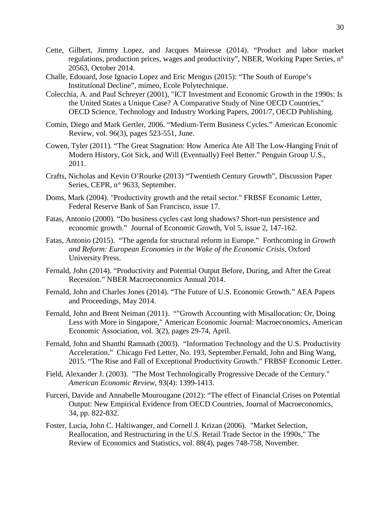- Cette, Gilbert, Jimmy Lopez, and Jacques Mairesse (2014). "Product and labor market regulations, production prices, wages and productivity", NBER, Working Paper Series, n° 20563, October 2014.
- Challe, Edouard, Jose Ignacio Lopez and Eric Mengus (2015): "The South of Europe's Institutional Decline", mimeo, Ecole Polytechnique.
- Colecchia, A. and Paul Schreyer (2001), "ICT Investment and Economic Growth in the 1990s: Is the United States a Unique Case? A Comparative Study of Nine OECD Countries," OECD Science, Technology and Industry Working Papers, 2001/7, OECD Publishing.
- Comin, Diego and Mark Gertler, 2006. "Medium-Term Business Cycles." American Economic Review, vol. 96(3), pages 523-551, June.
- Cowen, Tyler (2011). "The Great Stagnation: How America Ate All The Low-Hanging Fruit of Modern History, Got Sick, and Will (Eventually) Feel Better." Penguin Group U.S., 2011.
- Crafts, Nicholas and Kevin O'Rourke (2013) "Twentieth Century Growth", Discussion Paper Series, CEPR, n° 9633, September.
- Doms, Mark (2004). "Productivity growth and the retail sector." FRBSF Economic Letter, Federal Reserve Bank of San Francisco, issue 17.
- Fatas, Antonio (2000). "Do business cycles cast long shadows? Short-run persistence and economic growth." Journal of Economic Growth, Vol 5, issue 2, 147-162.
- Fatas, Antonio (2015). "The agenda for structural reform in Europe." Forthcoming in *Growth and Reform: European Economies in the Wake of the Economic Crisis*, Oxford University Press.
- Fernald, John (2014). "Productivity and Potential Output Before, During, and After the Great Recession." NBER Macroeconomics Annual 2014.
- Fernald, John and Charles Jones (2014). "The Future of U.S. Economic Growth." AEA Papers and Proceedings, May 2014.
- Fernald, John and Brent Neiman (2011). ""Growth Accounting with Misallocation: Or, Doing Less with More in Singapore," American Economic Journal: Macroeconomics, American Economic Association, vol. 3(2), pages 29-74, April.
- Fernald, John and Shanthi Ramnath (2003). "Information Technology and the U.S. Productivity Acceleration." Chicago Fed Letter, No. 193, September.Fernald, John and Bing Wang, 2015. "The Rise and Fall of Exceptional Productivity Growth." FRBSF Economic Letter.
- Field, Alexander J. (2003). "The Most Technologically Progressive Decade of the Century." *American Economic Review*, 93(4): 1399-1413.
- Furceri, Davide and Annabelle Mourougane (2012): "The effect of Financial Crises on Potential Output: New Empirical Evidence from OECD Countries, Journal of Macroeconomics, 34, pp. 822-832.
- Foster, Lucia, John C. Haltiwanger, and Cornell J. Krizan (2006). "Market Selection, Reallocation, and Restructuring in the U.S. Retail Trade Sector in the 1990s," The Review of Economics and Statistics, vol. 88(4), pages 748-758, November.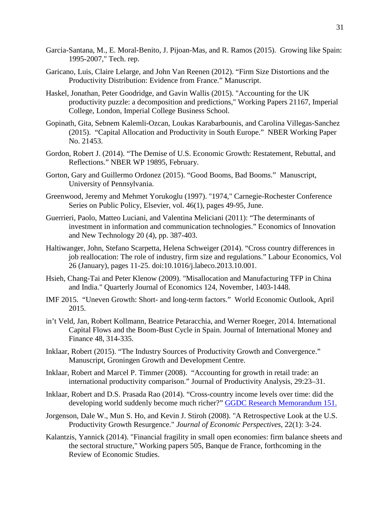- Garcia-Santana, M., E. Moral-Benito, J. Pijoan-Mas, and R. Ramos (2015). Growing like Spain: 1995-2007," Tech. rep.
- Garicano, Luis, Claire Lelarge, and John Van Reenen (2012). "Firm Size Distortions and the Productivity Distribution: Evidence from France." Manuscript.
- Haskel, Jonathan, Peter Goodridge, and Gavin Wallis (2015). "Accounting for the UK productivity puzzle: a decomposition and predictions," Working Papers 21167, Imperial College, London, Imperial College Business School.
- Gopinath, Gita, Sebnem Kalemli-Ozcan, Loukas Karabarbounis, and Carolina Villegas-Sanchez (2015). "Capital Allocation and Productivity in South Europe." NBER Working Paper No. 21453.
- Gordon, Robert J. (2014). "The Demise of U.S. Economic Growth: Restatement, Rebuttal, and Reflections." NBER WP 19895, February.
- Gorton, Gary and Guillermo Ordonez (2015). "Good Booms, Bad Booms." Manuscript, University of Pennsylvania.
- Greenwood, Jeremy and Mehmet Yorukoglu (1997). "1974," Carnegie-Rochester Conference Series on Public Policy, Elsevier, vol. 46(1), pages 49-95, June.
- Guerrieri, Paolo, Matteo Luciani, and Valentina Meliciani (2011): "The determinants of investment in information and communication technologies." Economics of Innovation and New Technology 20 (4), pp. 387-403.
- Haltiwanger, John, Stefano Scarpetta, Helena Schweiger (2014). "Cross country differences in job reallocation: The role of industry, firm size and regulations." Labour Economics, Vol 26 (January), pages 11-25. doi:10.1016/j.labeco.2013.10.001.
- Hsieh, Chang-Tai and Peter Klenow (2009). "Misallocation and Manufacturing TFP in China and India." Quarterly Journal of Economics 124, November, 1403-1448.
- IMF 2015. "Uneven Growth: Short- and long-term factors." World Economic Outlook, April 2015.
- in't Veld, Jan, Robert Kollmann, Beatrice Petaracchia, and Werner Roeger, 2014. International Capital Flows and the Boom-Bust Cycle in Spain. Journal of International Money and Finance 48, 314-335.
- Inklaar, Robert (2015). "The Industry Sources of Productivity Growth and Convergence." Manuscript, Groningen Growth and Development Centre.
- Inklaar, Robert and Marcel P. Timmer (2008). "Accounting for growth in retail trade: an international productivity comparison." Journal of Productivity Analysis, 29:23–31.
- Inklaar, Robert and D.S. Prasada Rao (2014). "Cross-country income levels over time: did the developing world suddenly become much richer?" [GGDC Research Memorandum 151.](http://www.ggdc.net/publications/memorandum/gd151.pdf)
- Jorgenson, Dale W., Mun S. Ho, and Kevin J. Stiroh (2008). "A Retrospective Look at the U.S. Productivity Growth Resurgence." *Journal of Economic Perspectives*, 22(1): 3-24.
- Kalantzis, Yannick (2014). "Financial fragility in small open economies: firm balance sheets and the sectoral structure," Working papers 505, Banque de France, forthcoming in the Review of Economic Studies.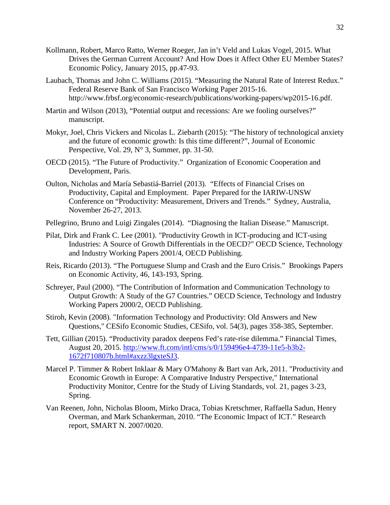- Kollmann, Robert, Marco Ratto, Werner Roeger, Jan in't Veld and Lukas Vogel, 2015. What Drives the German Current Account? And How Does it Affect Other EU Member States? Economic Policy, January 2015, pp.47-93.
- Laubach, Thomas and John C. Williams (2015). "Measuring the Natural Rate of Interest Redux." Federal Reserve Bank of San Francisco Working Paper 2015-16. http://www.frbsf.org/economic-research/publications/working-papers/wp2015-16.pdf.
- Martin and Wilson (2013), "Potential output and recessions: Are we fooling ourselves?" manuscript.
- Mokyr, Joel, Chris Vickers and Nicolas L. Ziebarth (2015): "The history of technological anxiety and the future of economic growth: Is this time different?", Journal of Economic Perspective, Vol. 29, N° 3, Summer, pp. 31-50.
- OECD (2015). "The Future of Productivity." Organization of Economic Cooperation and Development, Paris.
- Oulton, Nicholas and María Sebastiá-Barriel (2013). "Effects of Financial Crises on Productivity, Capital and Employment. Paper Prepared for the IARIW-UNSW Conference on "Productivity: Measurement, Drivers and Trends." Sydney, Australia, November 26-27, 2013.
- Pellegrino, Bruno and Luigi Zingales (2014). "Diagnosing the Italian Disease." Manuscript.
- Pilat, Dirk and Frank C. Lee (2001). "Productivity Growth in ICT-producing and ICT-using Industries: A Source of Growth Differentials in the OECD?" OECD Science, Technology and Industry Working Papers 2001/4, OECD Publishing.
- Reis, Ricardo (2013). "The Portuguese Slump and Crash and the Euro Crisis." Brookings Papers on Economic Activity, 46, 143-193, Spring.
- Schreyer, Paul (2000). "The Contribution of Information and Communication Technology to Output Growth: A Study of the G7 Countries." OECD Science, Technology and Industry Working Papers 2000/2, OECD Publishing.
- Stiroh, Kevin (2008). "Information Technology and Productivity: Old Answers and New Questions," CESifo Economic Studies, CESifo, vol. 54(3), pages 358-385, September.
- Tett, Gillian (2015). "Productivity paradox deepens Fed's rate-rise dilemma." Financial Times, August 20, 2015. [http://www.ft.com/intl/cms/s/0/159496e4-4739-11e5-b3b2-](http://www.ft.com/intl/cms/s/0/159496e4-4739-11e5-b3b2-1672f710807b.html#axzz3lgxteSJ3) [1672f710807b.html#axzz3lgxteSJ3.](http://www.ft.com/intl/cms/s/0/159496e4-4739-11e5-b3b2-1672f710807b.html#axzz3lgxteSJ3)
- Marcel P. Timmer & Robert Inklaar & Mary O'Mahony & Bart van Ark, 2011. "Productivity and Economic Growth in Europe: A Comparative Industry Perspective," International Productivity Monitor, Centre for the Study of Living Standards, vol. 21, pages 3-23, Spring.
- Van Reenen, John, Nicholas Bloom, Mirko Draca, Tobias Kretschmer, Raffaella Sadun, Henry Overman, and Mark Schankerman, 2010. "The Economic Impact of ICT." Research report, SMART N. 2007/0020.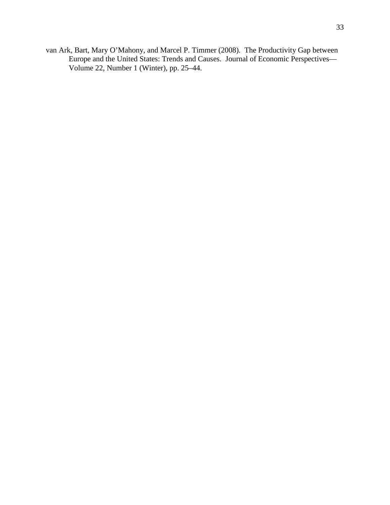van Ark, Bart, Mary O'Mahony, and Marcel P. Timmer (2008). The Productivity Gap between Europe and the United States: Trends and Causes. Journal of Economic Perspectives— Volume 22, Number 1 (Winter), pp. 25–44.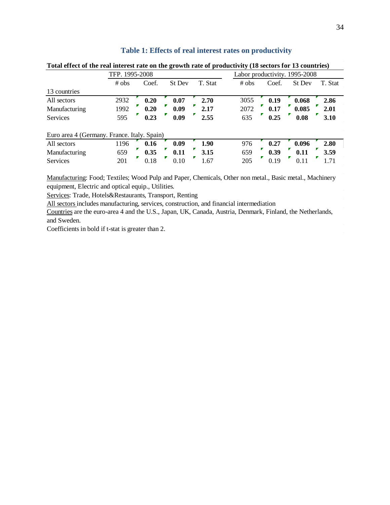| T. Stat |
|---------|
|         |
| 2.86    |
| 2.01    |
| 3.10    |
|         |
| 2.80    |
| 3.59    |
| 1.71    |
|         |

#### **Table 1: Effects of real interest rates on productivity**

**Total effect of the real interest rate on the growth rate of productivity (18 sectors for 13 countries)**

Manufacturing: Food; Textiles; Wood Pulp and Paper, Chemicals, Other non metal., Basic metal., Machinery equipment, Electric and optical equip., Utilities.

Services: Trade, Hotels&Restaurants, Transport, Renting

All sectors includes manufacturing, services, construction, and financial intermediation

Countries are the euro-area 4 and the U.S., Japan, UK, Canada, Austria, Denmark, Finland, the Netherlands, and Sweden.

Coefficients in bold if t-stat is greater than 2.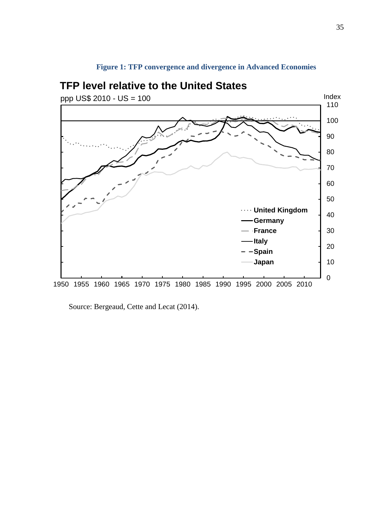<span id="page-36-0"></span>

# **Figure 1: TFP convergence and divergence in Advanced Economies**

Source: Bergeaud, Cette and Lecat (2014).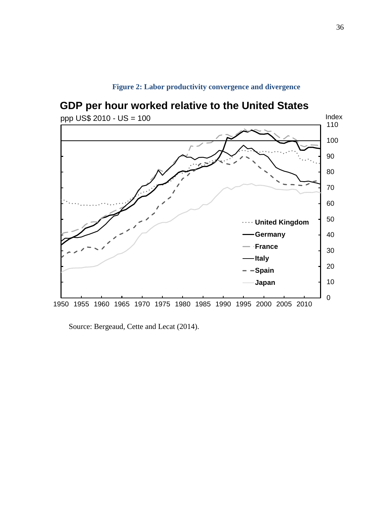<span id="page-37-0"></span>

**Figure 2: Labor productivity convergence and divergence** 

Source: Bergeaud, Cette and Lecat (2014).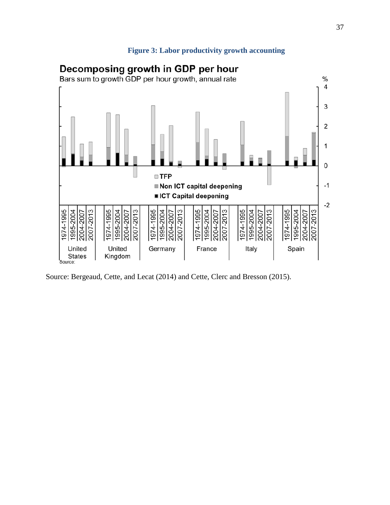### **Figure 3: Labor productivity growth accounting**

<span id="page-38-0"></span>

Source: Bergeaud, Cette, and Lecat (2014) and Cette, Clerc and Bresson (2015).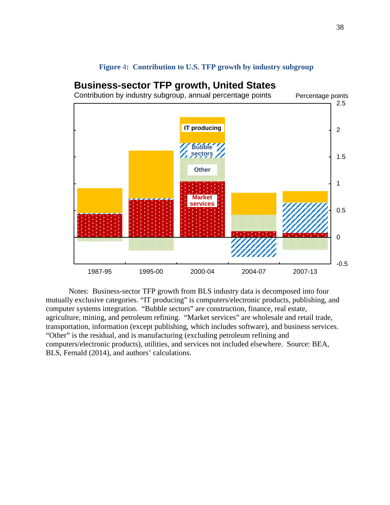

#### **Figure** 4**: Contribution to U.S. TFP growth by industry subgroup**

<span id="page-39-0"></span>**Business-sector TFP growth, United States**

Notes: Business-sector TFP growth from BLS industry data is decomposed into four mutually exclusive categories. "IT producing" is computers/electronic products, publishing, and computer systems integration. "Bubble sectors" are construction, finance, real estate, agriculture, mining, and petroleum refining. "Market services" are wholesale and retail trade, transportation, information (except publishing, which includes software), and business services. "Other" is the residual, and is manufacturing (excluding petroleum refining and computers/electronic products), utilities, and services not included elsewhere. Source: BEA, BLS, Fernald (2014), and authors' calculations.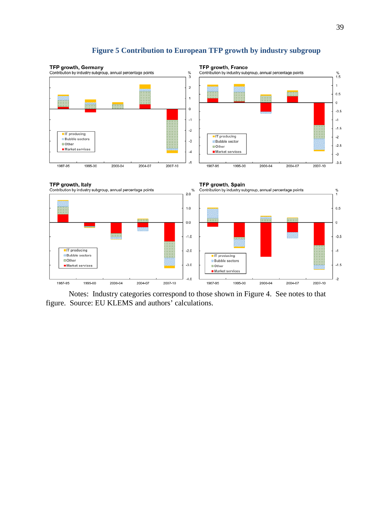<span id="page-40-0"></span>

## **Figure 5 Contribution to European TFP growth by industry subgroup**

Notes: Industry categories correspond to those shown in [Figure 4.](#page-39-0) See notes to that figure. Source: EU KLEMS and authors' calculations.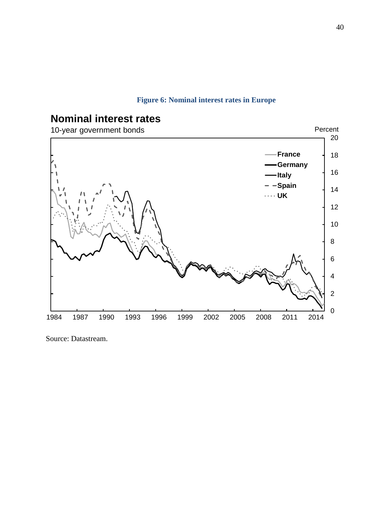## **Figure 6: Nominal interest rates in Europe**

<span id="page-41-0"></span>

## Source: Datastream.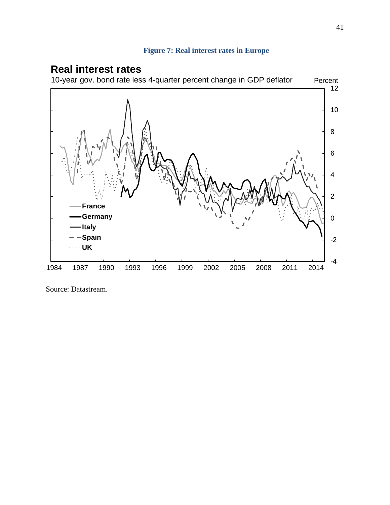## **Figure 7: Real interest rates in Europe**

## <span id="page-42-0"></span>**Real interest rates**



Source: Datastream.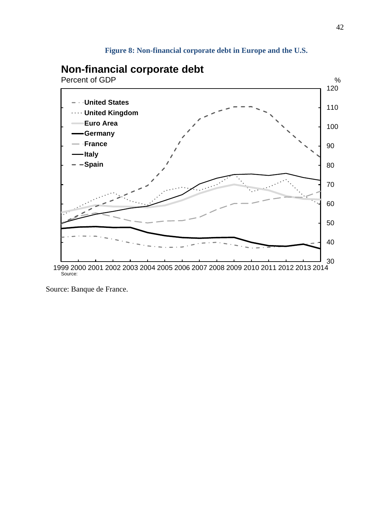## **Figure 8: Non-financial corporate debt in Europe and the U.S.**

## <span id="page-43-0"></span>**Non-financial corporate debt**

Percent of GDP



Source: Banque de France.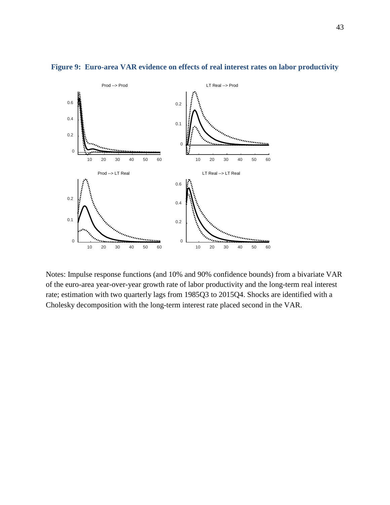

#### <span id="page-44-0"></span>**Figure 9: Euro-area VAR evidence on effects of real interest rates on labor productivity**

Notes: Impulse response functions (and 10% and 90% confidence bounds) from a bivariate VAR of the euro-area year-over-year growth rate of labor productivity and the long-term real interest rate; estimation with two quarterly lags from 1985Q3 to 2015Q4. Shocks are identified with a Cholesky decomposition with the long-term interest rate placed second in the VAR.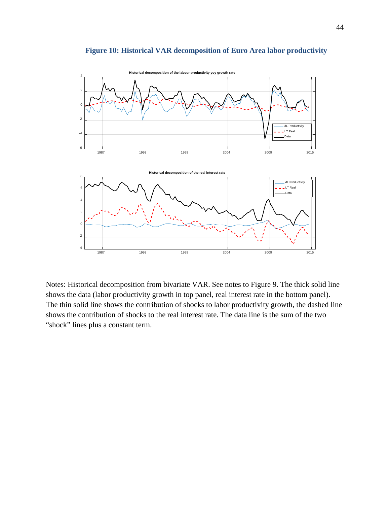<span id="page-45-0"></span>

#### **Figure 10: Historical VAR decomposition of Euro Area labor productivity**

Notes: Historical decomposition from bivariate VAR. See notes to Figure 9. The thick solid line shows the data (labor productivity growth in top panel, real interest rate in the bottom panel). The thin solid line shows the contribution of shocks to labor productivity growth, the dashed line shows the contribution of shocks to the real interest rate. The data line is the sum of the two "shock" lines plus a constant term.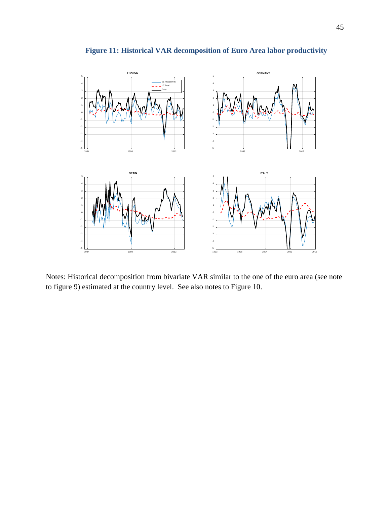<span id="page-46-0"></span>

## **Figure 11: Historical VAR decomposition of Euro Area labor productivity**

<span id="page-46-1"></span>Notes: Historical decomposition from bivariate VAR similar to the one of the euro area (see note to figure 9) estimated at the country level. See also notes to Figure 10.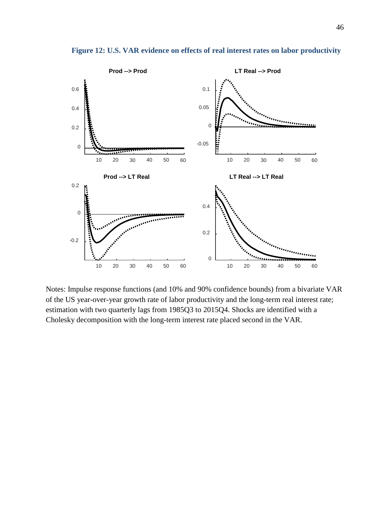

**Figure 12: U.S. VAR evidence on effects of real interest rates on labor productivity**

Notes: Impulse response functions (and 10% and 90% confidence bounds) from a bivariate VAR of the US year-over-year growth rate of labor productivity and the long-term real interest rate; estimation with two quarterly lags from 1985Q3 to 2015Q4. Shocks are identified with a Cholesky decomposition with the long-term interest rate placed second in the VAR.